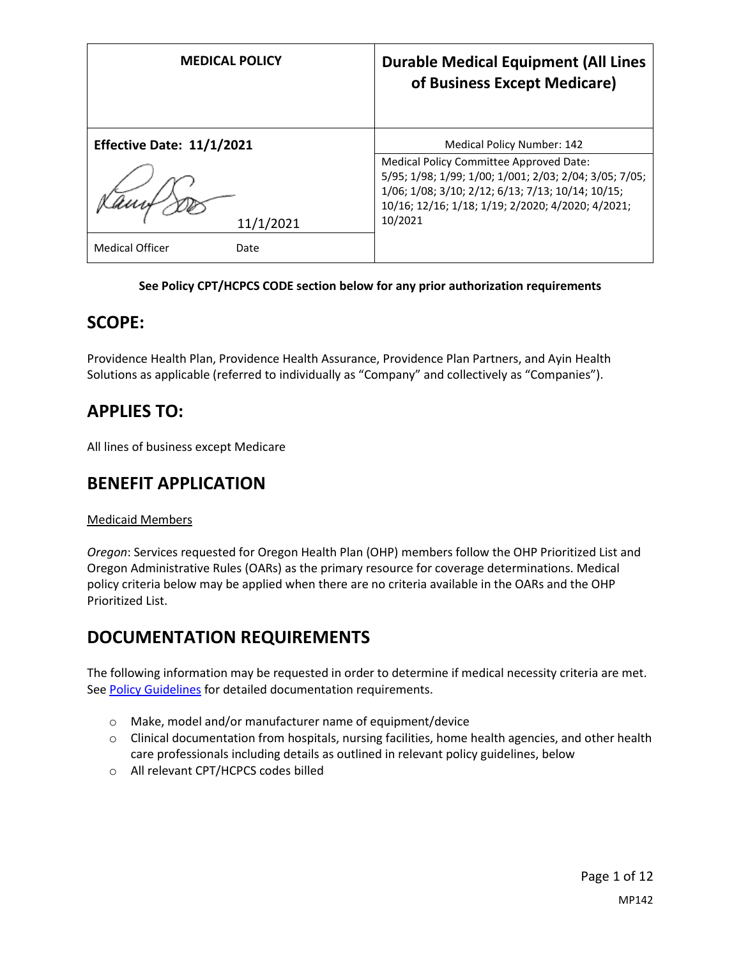| <b>MEDICAL POLICY</b>            | <b>Durable Medical Equipment (All Lines</b><br>of Business Except Medicare)                                                                                                                                            |
|----------------------------------|------------------------------------------------------------------------------------------------------------------------------------------------------------------------------------------------------------------------|
| <b>Effective Date: 11/1/2021</b> | <b>Medical Policy Number: 142</b>                                                                                                                                                                                      |
| 11/1/2021                        | Medical Policy Committee Approved Date:<br>5/95; 1/98; 1/99; 1/00; 1/001; 2/03; 2/04; 3/05; 7/05;<br>1/06; 1/08; 3/10; 2/12; 6/13; 7/13; 10/14; 10/15;<br>10/16; 12/16; 1/18; 1/19; 2/2020; 4/2020; 4/2021;<br>10/2021 |
| <b>Medical Officer</b><br>Date   |                                                                                                                                                                                                                        |

#### **See Policy CPT/HCPCS CODE section below for any prior authorization requirements**

### **SCOPE:**

Providence Health Plan, Providence Health Assurance, Providence Plan Partners, and Ayin Health Solutions as applicable (referred to individually as "Company" and collectively as "Companies").

## **APPLIES TO:**

All lines of business except Medicare

### **BENEFIT APPLICATION**

#### Medicaid Members

*Oregon*: Services requested for Oregon Health Plan (OHP) members follow the OHP Prioritized List and Oregon Administrative Rules (OARs) as the primary resource for coverage determinations. Medical policy criteria below may be applied when there are no criteria available in the OARs and the OHP Prioritized List.

## **DOCUMENTATION REQUIREMENTS**

The following information may be requested in order to determine if medical necessity criteria are met. Se[e Policy Guidelines](#page-5-0) for detailed documentation requirements.

- o Make, model and/or manufacturer name of equipment/device
- o Clinical documentation from hospitals, nursing facilities, home health agencies, and other health care professionals including details as outlined in relevant policy guidelines, below
- o All relevant CPT/HCPCS codes billed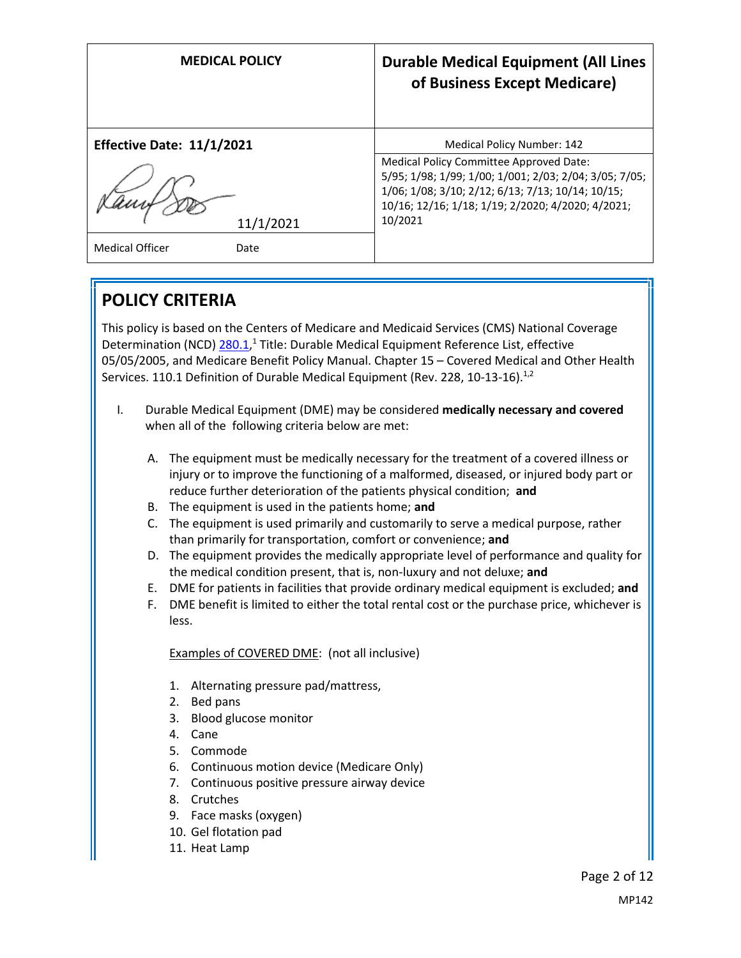| <b>MEDICAL POLICY</b>            | <b>Durable Medical Equipment (All Lines</b><br>of Business Except Medicare)                                                                                                                                            |
|----------------------------------|------------------------------------------------------------------------------------------------------------------------------------------------------------------------------------------------------------------------|
| <b>Effective Date: 11/1/2021</b> | <b>Medical Policy Number: 142</b>                                                                                                                                                                                      |
| 11/1/2021                        | Medical Policy Committee Approved Date:<br>5/95; 1/98; 1/99; 1/00; 1/001; 2/03; 2/04; 3/05; 7/05;<br>1/06; 1/08; 3/10; 2/12; 6/13; 7/13; 10/14; 10/15;<br>10/16; 12/16; 1/18; 1/19; 2/2020; 4/2020; 4/2021;<br>10/2021 |
| <b>Medical Officer</b><br>Date   |                                                                                                                                                                                                                        |

## **POLICY CRITERIA**

This policy is based on the Centers of Medicare and Medicaid Services (CMS) National Coverage Determination (NCD) [280.1,](https://www.cms.gov/medicare-coverage-database/details/ncd-details.aspx?NCDId=190)<sup>1</sup> Title: Durable Medical Equipment Reference List, effective 05/05/2005, and Medicare Benefit Policy Manual. Chapter 15 – Covered Medical and Other Health Services. 110.1 Definition of Durable Medical Equipment (Rev. 228, 10-13-16).<sup>1,2</sup>

- I. Durable Medical Equipment (DME) may be considered **medically necessary and covered**  when all of the following criteria below are met:
	- A. The equipment must be medically necessary for the treatment of a covered illness or injury or to improve the functioning of a malformed, diseased, or injured body part or reduce further deterioration of the patients physical condition; **and**
	- B. The equipment is used in the patients home; **and**
	- C. The equipment is used primarily and customarily to serve a medical purpose, rather than primarily for transportation, comfort or convenience; **and**
	- D. The equipment provides the medically appropriate level of performance and quality for the medical condition present, that is, non-luxury and not deluxe; **and**
	- E. DME for patients in facilities that provide ordinary medical equipment is excluded; **and**
	- F. DME benefit is limited to either the total rental cost or the purchase price, whichever is less.

Examples of COVERED DME: (not all inclusive)

- 1. Alternating pressure pad/mattress,
- 2. Bed pans
- 3. Blood glucose monitor
- 4. Cane
- 5. Commode
- 6. Continuous motion device (Medicare Only)
- 7. Continuous positive pressure airway device
- 8. Crutches
- 9. Face masks (oxygen)
- 10. Gel flotation pad
- 11. Heat Lamp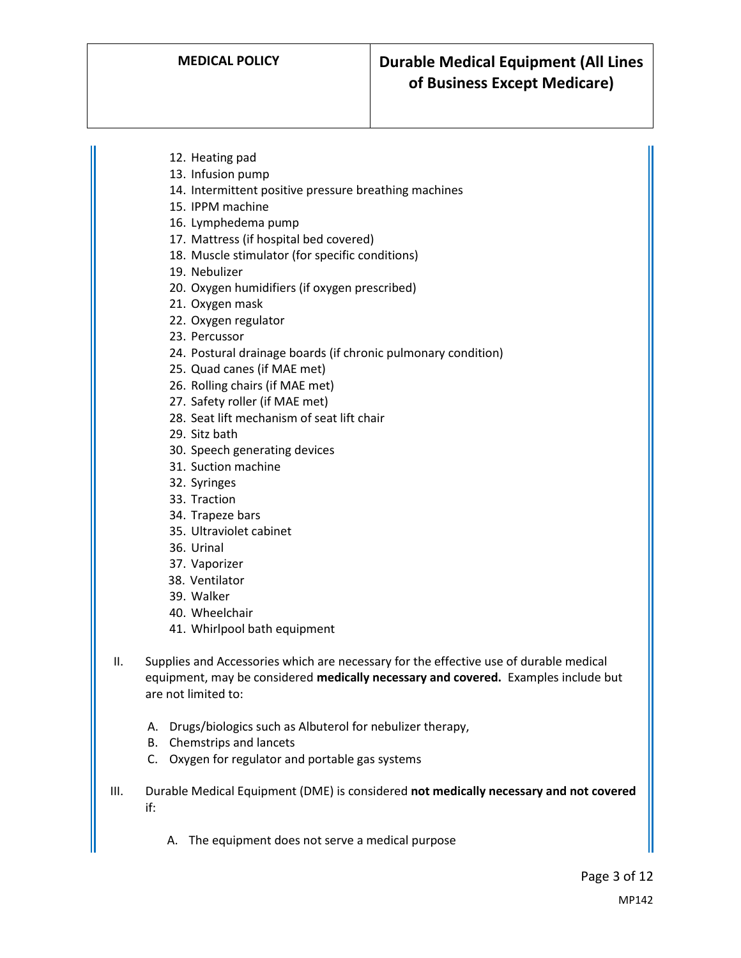- 12. Heating pad
- 13. Infusion pump
- 14. Intermittent positive pressure breathing machines
- 15. IPPM machine
- 16. Lymphedema pump
- 17. Mattress (if hospital bed covered)
- 18. Muscle stimulator (for specific conditions)
- 19. Nebulizer
- 20. Oxygen humidifiers (if oxygen prescribed)
- 21. Oxygen mask
- 22. Oxygen regulator
- 23. Percussor
- 24. Postural drainage boards (if chronic pulmonary condition)
- 25. Quad canes (if MAE met)
- 26. Rolling chairs (if MAE met)
- 27. Safety roller (if MAE met)
- 28. Seat lift mechanism of seat lift chair
- 29. Sitz bath
- 30. Speech generating devices
- 31. Suction machine
- 32. Syringes
- 33. Traction
- 34. Trapeze bars
- 35. Ultraviolet cabinet
- 36. Urinal
- 37. Vaporizer
- 38. Ventilator
- 39. Walker
- 40. Wheelchair
- 41. Whirlpool bath equipment
- II. Supplies and Accessories which are necessary for the effective use of durable medical equipment, may be considered **medically necessary and covered.** Examples include but are not limited to:
	- A. Drugs/biologics such as Albuterol for nebulizer therapy,
	- B. Chemstrips and lancets
	- C. Oxygen for regulator and portable gas systems
- III. Durable Medical Equipment (DME) is considered **not medically necessary and not covered**  if:
	- A. The equipment does not serve a medical purpose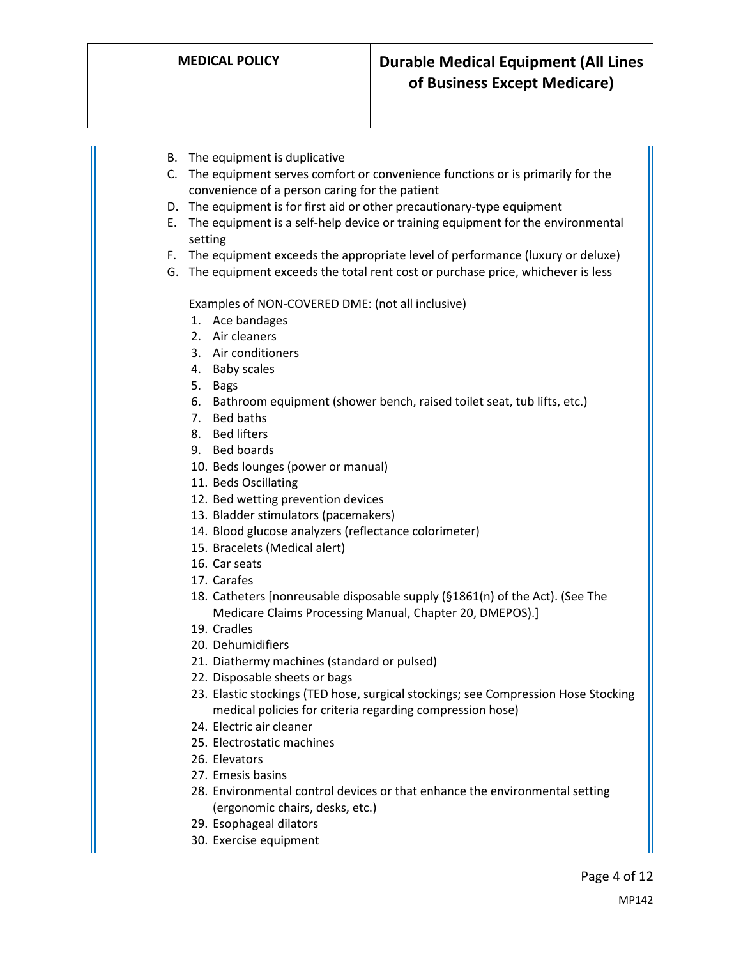- B. The equipment is duplicative
- C. The equipment serves comfort or convenience functions or is primarily for the convenience of a person caring for the patient
- D. The equipment is for first aid or other precautionary-type equipment
- E. The equipment is a self-help device or training equipment for the environmental setting
- F. The equipment exceeds the appropriate level of performance (luxury or deluxe)
- G. The equipment exceeds the total rent cost or purchase price, whichever is less

Examples of NON-COVERED DME: (not all inclusive)

- 1. Ace bandages
- 2. Air cleaners
- 3. Air conditioners
- 4. Baby scales
- 5. Bags
- 6. Bathroom equipment (shower bench, raised toilet seat, tub lifts, etc.)
- 7. Bed baths
- 8. Bed lifters
- 9. Bed boards
- 10. Beds lounges (power or manual)
- 11. Beds Oscillating
- 12. Bed wetting prevention devices
- 13. Bladder stimulators (pacemakers)
- 14. Blood glucose analyzers (reflectance colorimeter)
- 15. Bracelets (Medical alert)
- 16. Car seats
- 17. Carafes
- 18. Catheters [nonreusable disposable supply (§1861(n) of the Act). (See The Medicare Claims Processing Manual, Chapter 20, DMEPOS).]
- 19. Cradles
- 20. Dehumidifiers
- 21. Diathermy machines (standard or pulsed)
- 22. Disposable sheets or bags
- 23. Elastic stockings (TED hose, surgical stockings; see Compression Hose Stocking medical policies for criteria regarding compression hose)
- 24. Electric air cleaner
- 25. Electrostatic machines
- 26. Elevators
- 27. Emesis basins
- 28. Environmental control devices or that enhance the environmental setting (ergonomic chairs, desks, etc.)
- 29. Esophageal dilators
- 30. Exercise equipment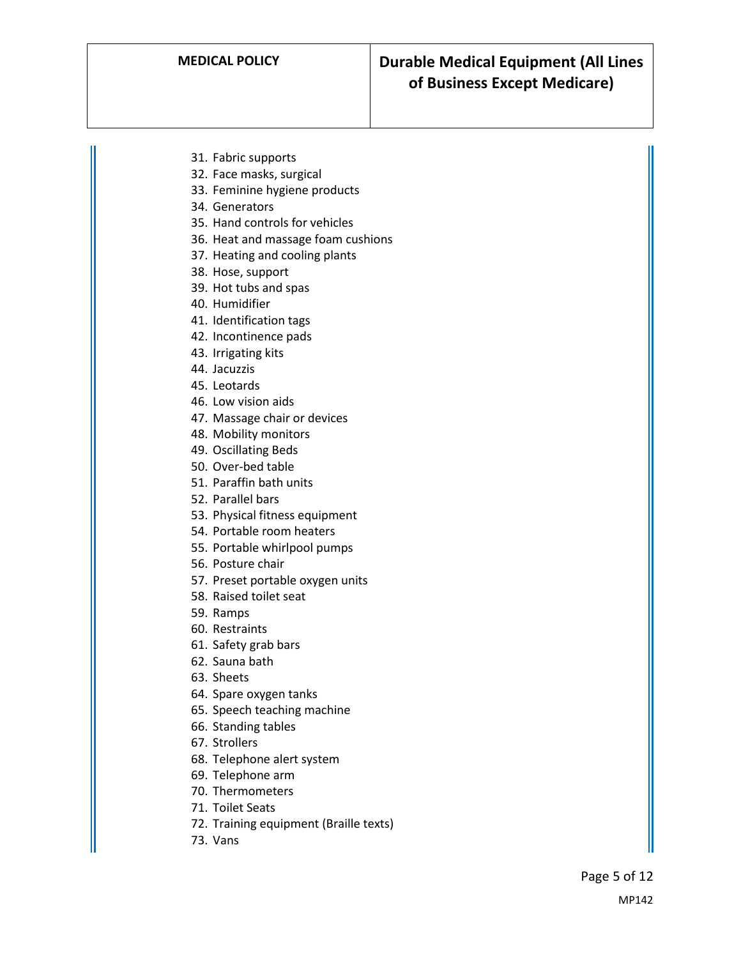- 31. Fabric supports
- 32. Face masks, surgical
- 33. Feminine hygiene products
- 34. Generators
- 35. Hand controls for vehicles
- 36. Heat and massage foam cushions
- 37. Heating and cooling plants
- 38. Hose, support
- 39. Hot tubs and spas
- 40. Humidifier
- 41. Identification tags
- 42. Incontinence pads
- 43. Irrigating kits
- 44. Jacuzzis
- 45. Leotards
- 46. Low vision aids
- 47. Massage chair or devices
- 48. Mobility monitors
- 49. Oscillating Beds
- 50. Over-bed table
- 51. Paraffin bath units
- 52. Parallel bars
- 53. Physical fitness equipment
- 54. Portable room heaters
- 55. Portable whirlpool pumps
- 56. Posture chair
- 57. Preset portable oxygen units
- 58. Raised toilet seat
- 59. Ramps
- 60. Restraints
- 61. Safety grab bars
- 62. Sauna bath
- 63. Sheets
- 64. Spare oxygen tanks
- 65. Speech teaching machine
- 66. Standing tables
- 67. Strollers
- 68. Telephone alert system
- 69. Telephone arm
- 70. Thermometers
- 71. Toilet Seats
- 72. Training equipment (Braille texts)
- 73. Vans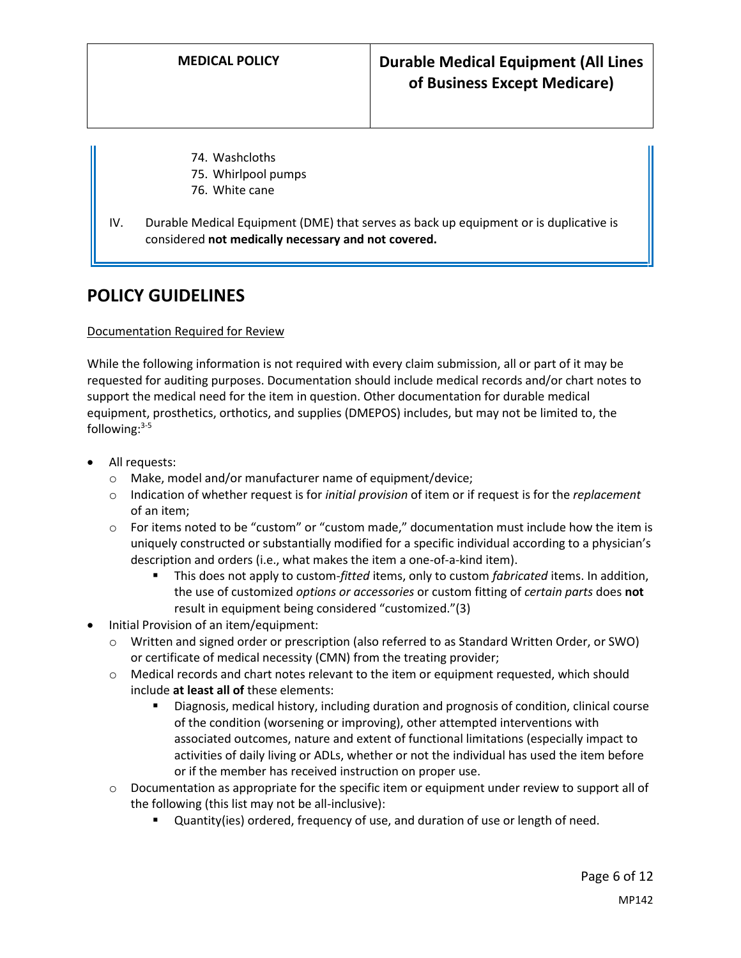- 74. Washcloths
- 75. Whirlpool pumps
- <span id="page-5-0"></span>76. White cane
- IV. Durable Medical Equipment (DME) that serves as back up equipment or is duplicative is considered **not medically necessary and not covered.**

### **POLICY GUIDELINES**

#### Documentation Required for Review

While the following information is not required with every claim submission, all or part of it may be requested for auditing purposes. Documentation should include medical records and/or chart notes to support the medical need for the item in question. Other documentation for durable medical equipment, prosthetics, orthotics, and supplies (DMEPOS) includes, but may not be limited to, the following: $3-5$ 

- All requests:
	- o Make, model and/or manufacturer name of equipment/device;
	- o Indication of whether request is for *initial provision* of item or if request is for the *replacement* of an item;
	- $\circ$  For items noted to be "custom" or "custom made," documentation must include how the item is uniquely constructed or substantially modified for a specific individual according to a physician's description and orders (i.e., what makes the item a one-of-a-kind item).
		- This does not apply to custom-*fitted* items, only to custom *fabricated* items. In addition, the use of customized *options or accessories* or custom fitting of *certain parts* does **not** result in equipment being considered "customized."(3)
- Initial Provision of an item/equipment:
	- o Written and signed order or prescription (also referred to as Standard Written Order, or SWO) or certificate of medical necessity (CMN) from the treating provider;
	- o Medical records and chart notes relevant to the item or equipment requested, which should include **at least all of** these elements:
		- Diagnosis, medical history, including duration and prognosis of condition, clinical course of the condition (worsening or improving), other attempted interventions with associated outcomes, nature and extent of functional limitations (especially impact to activities of daily living or ADLs, whether or not the individual has used the item before or if the member has received instruction on proper use.
	- $\circ$  Documentation as appropriate for the specific item or equipment under review to support all of the following (this list may not be all-inclusive):
		- Quantity(ies) ordered, frequency of use, and duration of use or length of need.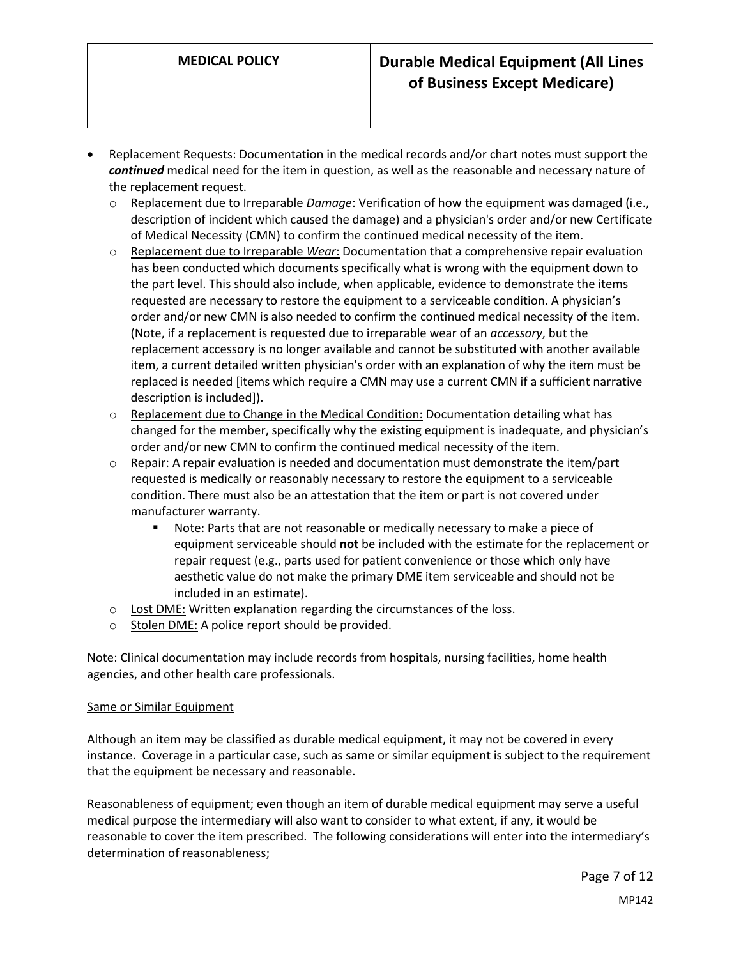- Replacement Requests: Documentation in the medical records and/or chart notes must support the *continued* medical need for the item in question, as well as the reasonable and necessary nature of the replacement request.
	- Replacement due to Irreparable *Damage*: Verification of how the equipment was damaged (i.e., description of incident which caused the damage) and a physician's order and/or new Certificate of Medical Necessity (CMN) to confirm the continued medical necessity of the item.
	- o Replacement due to Irreparable *Wear*: Documentation that a comprehensive repair evaluation has been conducted which documents specifically what is wrong with the equipment down to the part level. This should also include, when applicable, evidence to demonstrate the items requested are necessary to restore the equipment to a serviceable condition. A physician's order and/or new CMN is also needed to confirm the continued medical necessity of the item. (Note, if a replacement is requested due to irreparable wear of an *accessory*, but the replacement accessory is no longer available and cannot be substituted with another available item, a current detailed written physician's order with an explanation of why the item must be replaced is needed [items which require a CMN may use a current CMN if a sufficient narrative description is included]).
	- $\circ$  Replacement due to Change in the Medical Condition: Documentation detailing what has changed for the member, specifically why the existing equipment is inadequate, and physician's order and/or new CMN to confirm the continued medical necessity of the item.
	- $\circ$  Repair: A repair evaluation is needed and documentation must demonstrate the item/part requested is medically or reasonably necessary to restore the equipment to a serviceable condition. There must also be an attestation that the item or part is not covered under manufacturer warranty.
		- **Note: Parts that are not reasonable or medically necessary to make a piece of** equipment serviceable should **not** be included with the estimate for the replacement or repair request (e.g., parts used for patient convenience or those which only have aesthetic value do not make the primary DME item serviceable and should not be included in an estimate).
	- $\circ$  Lost DME: Written explanation regarding the circumstances of the loss.
	- $\circ$  Stolen DME: A police report should be provided.

Note: Clinical documentation may include records from hospitals, nursing facilities, home health agencies, and other health care professionals.

#### Same or Similar Equipment

Although an item may be classified as durable medical equipment, it may not be covered in every instance. Coverage in a particular case, such as same or similar equipment is subject to the requirement that the equipment be necessary and reasonable.

Reasonableness of equipment; even though an item of durable medical equipment may serve a useful medical purpose the intermediary will also want to consider to what extent, if any, it would be reasonable to cover the item prescribed. The following considerations will enter into the intermediary's determination of reasonableness;

> Page 7 of 12 MP142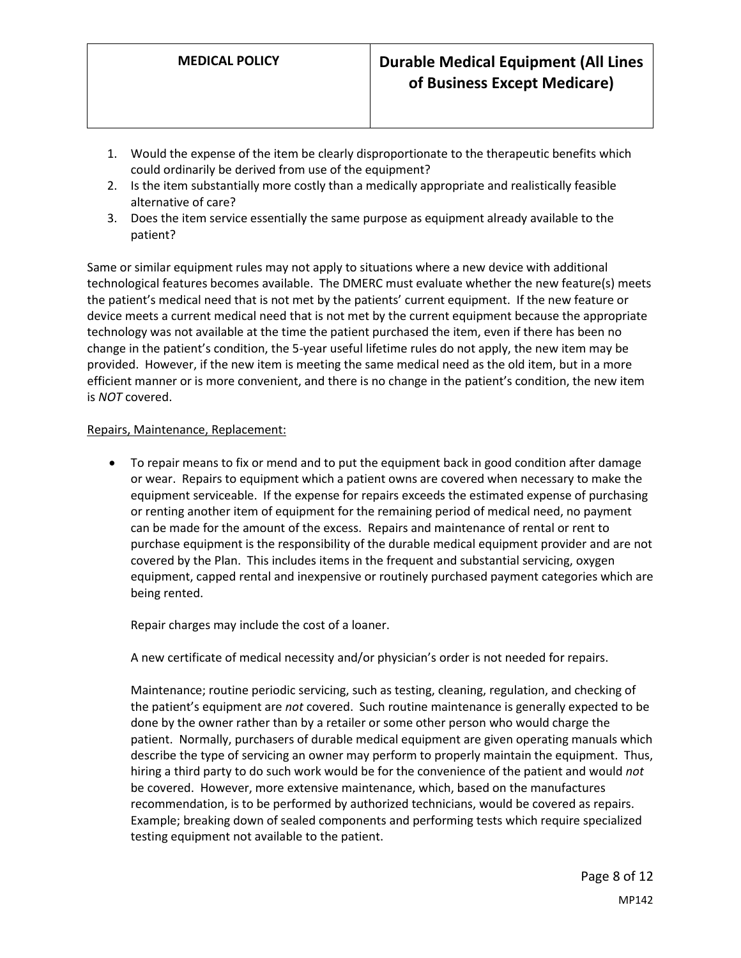- 1. Would the expense of the item be clearly disproportionate to the therapeutic benefits which could ordinarily be derived from use of the equipment?
- 2. Is the item substantially more costly than a medically appropriate and realistically feasible alternative of care?
- 3. Does the item service essentially the same purpose as equipment already available to the patient?

Same or similar equipment rules may not apply to situations where a new device with additional technological features becomes available. The DMERC must evaluate whether the new feature(s) meets the patient's medical need that is not met by the patients' current equipment. If the new feature or device meets a current medical need that is not met by the current equipment because the appropriate technology was not available at the time the patient purchased the item, even if there has been no change in the patient's condition, the 5-year useful lifetime rules do not apply, the new item may be provided. However, if the new item is meeting the same medical need as the old item, but in a more efficient manner or is more convenient, and there is no change in the patient's condition, the new item is *NOT* covered.

#### Repairs, Maintenance, Replacement:

 To repair means to fix or mend and to put the equipment back in good condition after damage or wear. Repairs to equipment which a patient owns are covered when necessary to make the equipment serviceable. If the expense for repairs exceeds the estimated expense of purchasing or renting another item of equipment for the remaining period of medical need, no payment can be made for the amount of the excess. Repairs and maintenance of rental or rent to purchase equipment is the responsibility of the durable medical equipment provider and are not covered by the Plan. This includes items in the frequent and substantial servicing, oxygen equipment, capped rental and inexpensive or routinely purchased payment categories which are being rented.

Repair charges may include the cost of a loaner.

A new certificate of medical necessity and/or physician's order is not needed for repairs.

Maintenance; routine periodic servicing, such as testing, cleaning, regulation, and checking of the patient's equipment are *not* covered. Such routine maintenance is generally expected to be done by the owner rather than by a retailer or some other person who would charge the patient. Normally, purchasers of durable medical equipment are given operating manuals which describe the type of servicing an owner may perform to properly maintain the equipment. Thus, hiring a third party to do such work would be for the convenience of the patient and would *not* be covered. However, more extensive maintenance, which, based on the manufactures recommendation, is to be performed by authorized technicians, would be covered as repairs. Example; breaking down of sealed components and performing tests which require specialized testing equipment not available to the patient.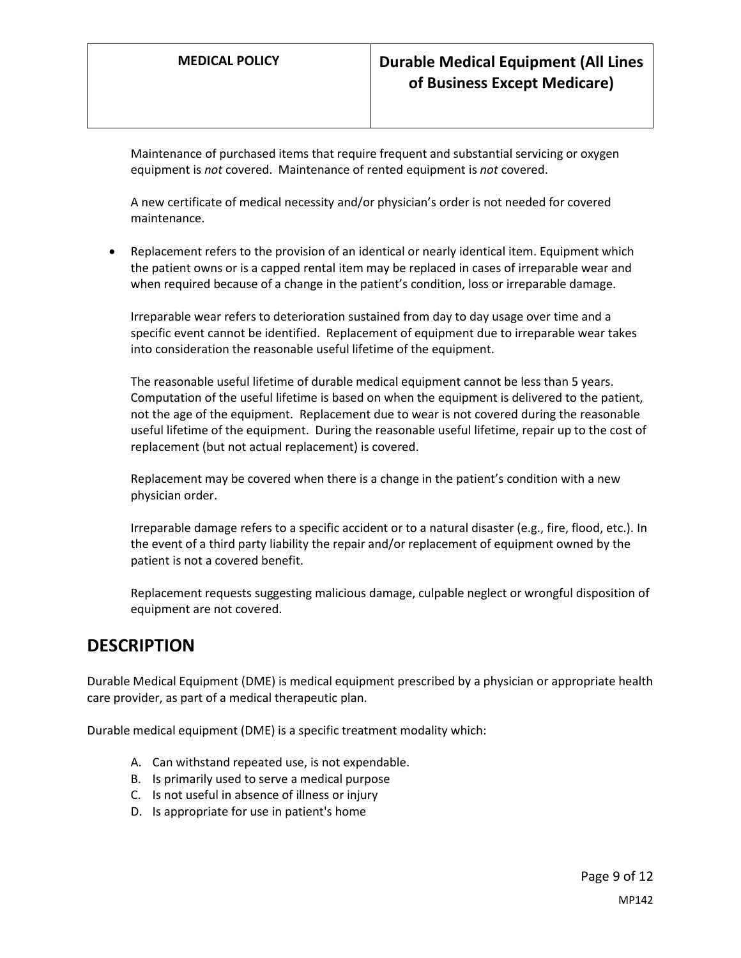Maintenance of purchased items that require frequent and substantial servicing or oxygen equipment is *not* covered. Maintenance of rented equipment is *not* covered.

A new certificate of medical necessity and/or physician's order is not needed for covered maintenance.

 Replacement refers to the provision of an identical or nearly identical item. Equipment which the patient owns or is a capped rental item may be replaced in cases of irreparable wear and when required because of a change in the patient's condition, loss or irreparable damage.

Irreparable wear refers to deterioration sustained from day to day usage over time and a specific event cannot be identified. Replacement of equipment due to irreparable wear takes into consideration the reasonable useful lifetime of the equipment.

The reasonable useful lifetime of durable medical equipment cannot be less than 5 years. Computation of the useful lifetime is based on when the equipment is delivered to the patient, not the age of the equipment. Replacement due to wear is not covered during the reasonable useful lifetime of the equipment. During the reasonable useful lifetime, repair up to the cost of replacement (but not actual replacement) is covered.

Replacement may be covered when there is a change in the patient's condition with a new physician order.

Irreparable damage refers to a specific accident or to a natural disaster (e.g., fire, flood, etc.). In the event of a third party liability the repair and/or replacement of equipment owned by the patient is not a covered benefit.

Replacement requests suggesting malicious damage, culpable neglect or wrongful disposition of equipment are not covered.

### **DESCRIPTION**

Durable Medical Equipment (DME) is medical equipment prescribed by a physician or appropriate health care provider, as part of a medical therapeutic plan.

Durable medical equipment (DME) is a specific treatment modality which:

- A. Can withstand repeated use, is not expendable.
- B. Is primarily used to serve a medical purpose
- C. Is not useful in absence of illness or injury
- D. Is appropriate for use in patient's home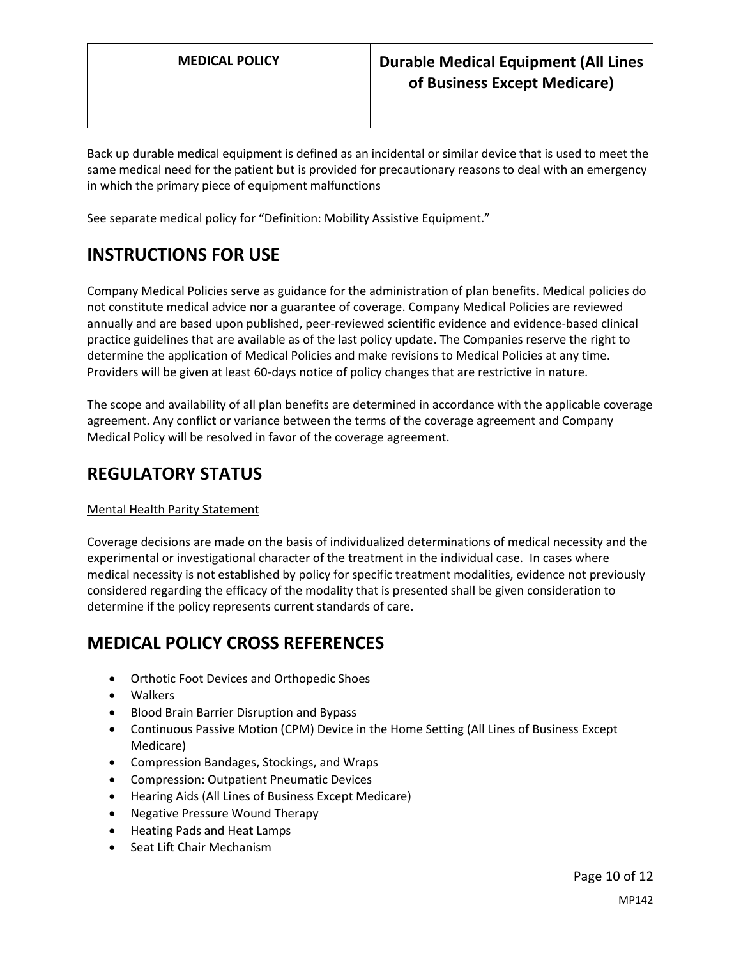Back up durable medical equipment is defined as an incidental or similar device that is used to meet the same medical need for the patient but is provided for precautionary reasons to deal with an emergency in which the primary piece of equipment malfunctions

See separate medical policy for "Definition: Mobility Assistive Equipment."

# **INSTRUCTIONS FOR USE**

Company Medical Policies serve as guidance for the administration of plan benefits. Medical policies do not constitute medical advice nor a guarantee of coverage. Company Medical Policies are reviewed annually and are based upon published, peer-reviewed scientific evidence and evidence-based clinical practice guidelines that are available as of the last policy update. The Companies reserve the right to determine the application of Medical Policies and make revisions to Medical Policies at any time. Providers will be given at least 60-days notice of policy changes that are restrictive in nature.

The scope and availability of all plan benefits are determined in accordance with the applicable coverage agreement. Any conflict or variance between the terms of the coverage agreement and Company Medical Policy will be resolved in favor of the coverage agreement.

## **REGULATORY STATUS**

#### Mental Health Parity Statement

Coverage decisions are made on the basis of individualized determinations of medical necessity and the experimental or investigational character of the treatment in the individual case. In cases where medical necessity is not established by policy for specific treatment modalities, evidence not previously considered regarding the efficacy of the modality that is presented shall be given consideration to determine if the policy represents current standards of care.

## **MEDICAL POLICY CROSS REFERENCES**

- Orthotic Foot Devices and Orthopedic Shoes
- Walkers
- **•** Blood Brain Barrier Disruption and Bypass
- Continuous Passive Motion (CPM) Device in the Home Setting (All Lines of Business Except Medicare)
- Compression Bandages, Stockings, and Wraps
- Compression: Outpatient Pneumatic Devices
- Hearing Aids (All Lines of Business Except Medicare)
- Negative Pressure Wound Therapy
- Heating Pads and Heat Lamps
- Seat Lift Chair Mechanism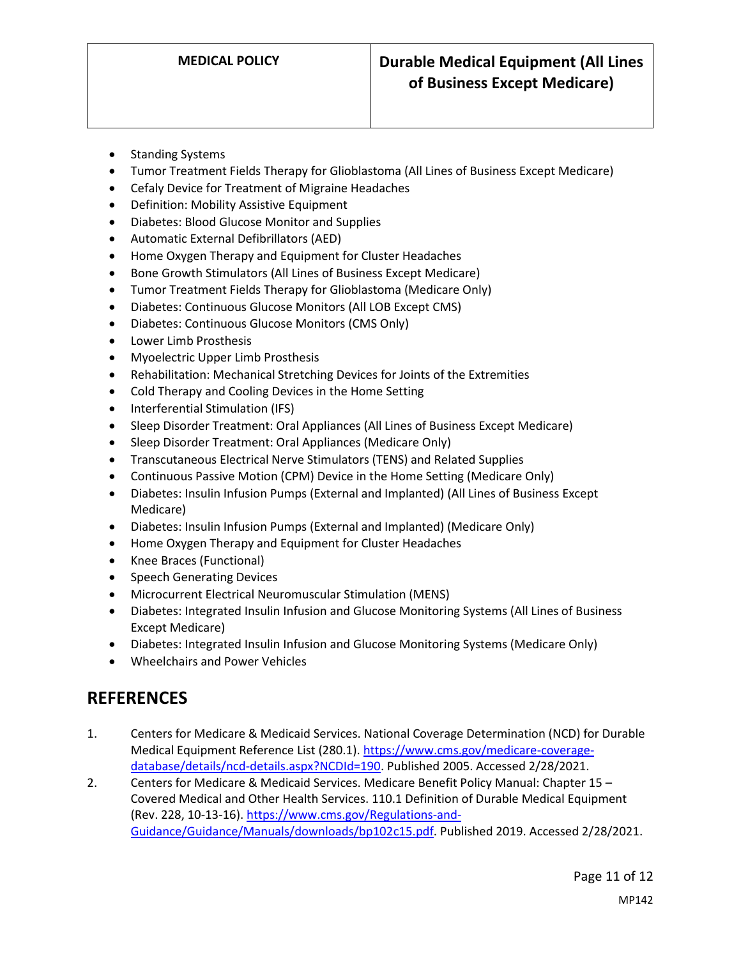- Standing Systems
- Tumor Treatment Fields Therapy for Glioblastoma (All Lines of Business Except Medicare)
- Cefaly Device for Treatment of Migraine Headaches
- Definition: Mobility Assistive Equipment
- Diabetes: Blood Glucose Monitor and Supplies
- Automatic External Defibrillators (AED)
- Home Oxygen Therapy and Equipment for Cluster Headaches
- Bone Growth Stimulators (All Lines of Business Except Medicare)
- Tumor Treatment Fields Therapy for Glioblastoma (Medicare Only)
- Diabetes: Continuous Glucose Monitors (All LOB Except CMS)
- Diabetes: Continuous Glucose Monitors (CMS Only)
- Lower Limb Prosthesis
- Myoelectric Upper Limb Prosthesis
- Rehabilitation: Mechanical Stretching Devices for Joints of the Extremities
- Cold Therapy and Cooling Devices in the Home Setting
- Interferential Stimulation (IFS)
- Sleep Disorder Treatment: Oral Appliances (All Lines of Business Except Medicare)
- Sleep Disorder Treatment: Oral Appliances (Medicare Only)
- Transcutaneous Electrical Nerve Stimulators (TENS) and Related Supplies
- Continuous Passive Motion (CPM) Device in the Home Setting (Medicare Only)
- Diabetes: Insulin Infusion Pumps (External and Implanted) (All Lines of Business Except Medicare)
- Diabetes: Insulin Infusion Pumps (External and Implanted) (Medicare Only)
- Home Oxygen Therapy and Equipment for Cluster Headaches
- Knee Braces (Functional)
- Speech Generating Devices
- Microcurrent Electrical Neuromuscular Stimulation (MENS)
- Diabetes: Integrated Insulin Infusion and Glucose Monitoring Systems (All Lines of Business Except Medicare)
- Diabetes: Integrated Insulin Infusion and Glucose Monitoring Systems (Medicare Only)
- Wheelchairs and Power Vehicles

## **REFERENCES**

- 1. Centers for Medicare & Medicaid Services. National Coverage Determination (NCD) for Durable Medical Equipment Reference List (280.1). [https://www.cms.gov/medicare-coverage](https://www.cms.gov/medicare-coverage-database/details/ncd-details.aspx?NCDId=190)[database/details/ncd-details.aspx?NCDId=190.](https://www.cms.gov/medicare-coverage-database/details/ncd-details.aspx?NCDId=190) Published 2005. Accessed 2/28/2021.
- 2. Centers for Medicare & Medicaid Services. Medicare Benefit Policy Manual: Chapter 15 Covered Medical and Other Health Services. 110.1 Definition of Durable Medical Equipment (Rev. 228, 10-13-16). [https://www.cms.gov/Regulations-and-](https://www.cms.gov/Regulations-and-Guidance/Guidance/Manuals/downloads/bp102c15.pdf)[Guidance/Guidance/Manuals/downloads/bp102c15.pdf.](https://www.cms.gov/Regulations-and-Guidance/Guidance/Manuals/downloads/bp102c15.pdf) Published 2019. Accessed 2/28/2021.